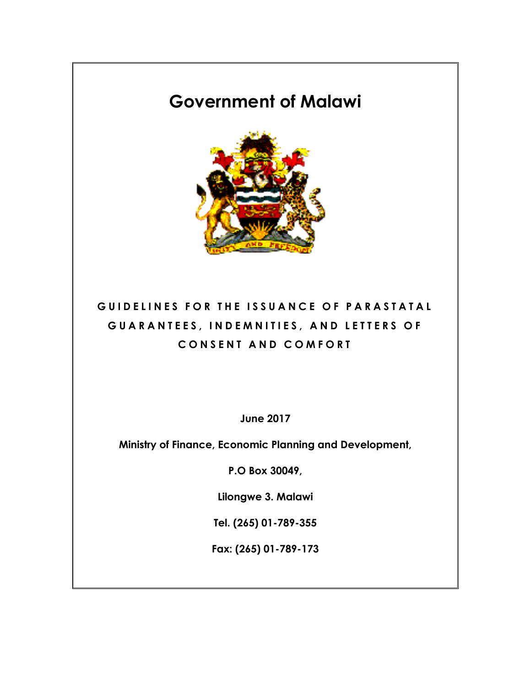# **Government of Malawi**



# **GUIDELINES FOR THE ISSUANCE O F PARASTATAL GUARANTEES, INDEMNITIES, AND LETTER S O F CONSEN T AND COMFORT**

**June 2017**

**Ministry of Finance, Economic Planning and Development,**

**P.O Box 30049,**

**Lilongwe 3. Malawi**

**Tel. (265) 01-789-355**

**Fax: (265) 01-789-173**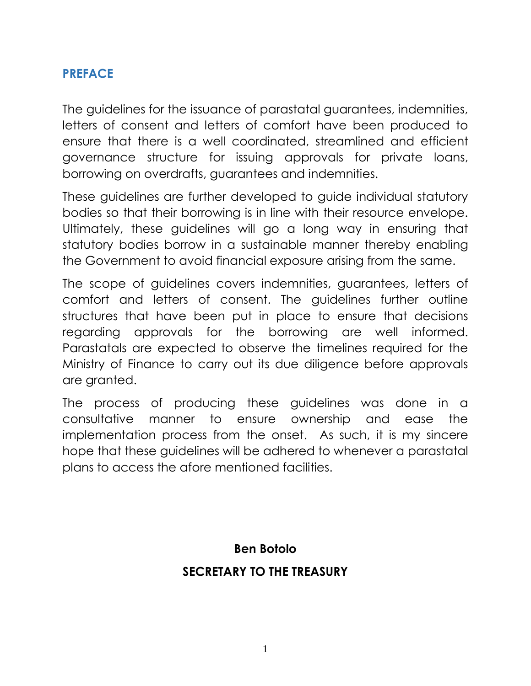#### **PREFACE**

The guidelines for the issuance of parastatal guarantees, indemnities, letters of consent and letters of comfort have been produced to ensure that there is a well coordinated, streamlined and efficient governance structure for issuing approvals for private loans, borrowing on overdrafts, guarantees and indemnities.

These guidelines are further developed to guide individual statutory bodies so that their borrowing is in line with their resource envelope. Ultimately, these guidelines will go a long way in ensuring that statutory bodies borrow in a sustainable manner thereby enabling the Government to avoid financial exposure arising from the same.

The scope of guidelines covers indemnities, guarantees, letters of comfort and letters of consent. The guidelines further outline structures that have been put in place to ensure that decisions regarding approvals for the borrowing are well informed. Parastatals are expected to observe the timelines required for the Ministry of Finance to carry out its due diligence before approvals are granted.

The process of producing these guidelines was done in a consultative manner to ensure ownership and ease the implementation process from the onset. As such, it is my sincere hope that these guidelines will be adhered to whenever a parastatal plans to access the afore mentioned facilities.

> **Ben Botolo SECRETARY TO THE TREASURY**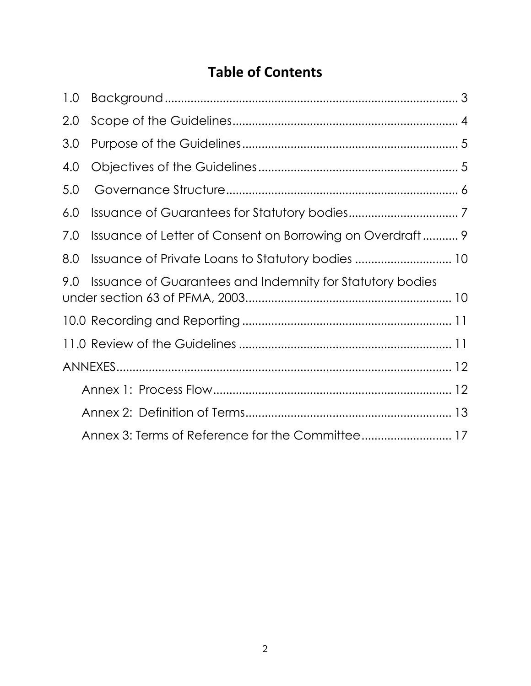# **Table of Contents**

| 1.0                                                              |                                                           |  |  |  |
|------------------------------------------------------------------|-----------------------------------------------------------|--|--|--|
| 2.0                                                              |                                                           |  |  |  |
| 3.0                                                              |                                                           |  |  |  |
| 4.0                                                              |                                                           |  |  |  |
| 5.0                                                              |                                                           |  |  |  |
| 6.0                                                              |                                                           |  |  |  |
| 7.0                                                              | Issuance of Letter of Consent on Borrowing on Overdraft 9 |  |  |  |
| 8.0                                                              | Issuance of Private Loans to Statutory bodies  10         |  |  |  |
| 9.0<br>Issuance of Guarantees and Indemnity for Statutory bodies |                                                           |  |  |  |
|                                                                  |                                                           |  |  |  |
|                                                                  |                                                           |  |  |  |
|                                                                  |                                                           |  |  |  |
|                                                                  |                                                           |  |  |  |
|                                                                  |                                                           |  |  |  |
|                                                                  |                                                           |  |  |  |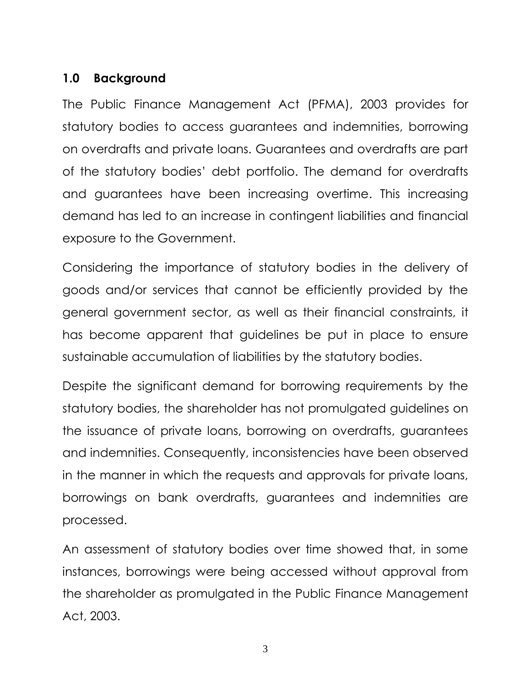## <span id="page-3-0"></span>**1.0 Background**

The Public Finance Management Act (PFMA), 2003 provides for statutory bodies to access guarantees and indemnities, borrowing on overdrafts and private loans. Guarantees and overdrafts are part of the statutory bodies' debt portfolio. The demand for overdrafts and guarantees have been increasing overtime. This increasing demand has led to an increase in contingent liabilities and financial exposure to the Government.

Considering the importance of statutory bodies in the delivery of goods and/or services that cannot be efficiently provided by the general government sector, as well as their financial constraints, it has become apparent that guidelines be put in place to ensure sustainable accumulation of liabilities by the statutory bodies.

Despite the significant demand for borrowing requirements by the statutory bodies, the shareholder has not promulgated guidelines on the issuance of private loans, borrowing on overdrafts, guarantees and indemnities. Consequently, inconsistencies have been observed in the manner in which the requests and approvals for private loans, borrowings on bank overdrafts, guarantees and indemnities are processed.

An assessment of statutory bodies over time showed that, in some instances, borrowings were being accessed without approval from the shareholder as promulgated in the Public Finance Management Act, 2003.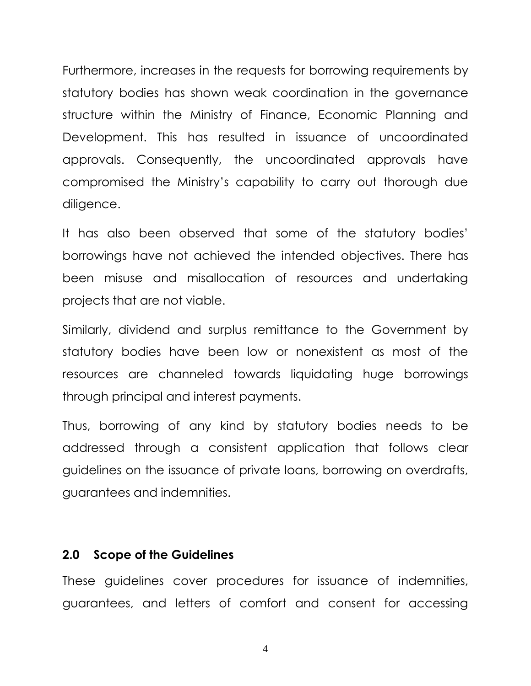Furthermore, increases in the requests for borrowing requirements by statutory bodies has shown weak coordination in the governance structure within the Ministry of Finance, Economic Planning and Development. This has resulted in issuance of uncoordinated approvals. Consequently, the uncoordinated approvals have compromised the Ministry's capability to carry out thorough due diligence.

It has also been observed that some of the statutory bodies' borrowings have not achieved the intended objectives. There has been misuse and misallocation of resources and undertaking projects that are not viable.

Similarly, dividend and surplus remittance to the Government by statutory bodies have been low or nonexistent as most of the resources are channeled towards liquidating huge borrowings through principal and interest payments.

Thus, borrowing of any kind by statutory bodies needs to be addressed through a consistent application that follows clear guidelines on the issuance of private loans, borrowing on overdrafts, guarantees and indemnities.

#### <span id="page-4-0"></span>**2.0 Scope of the Guidelines**

These guidelines cover procedures for issuance of indemnities, guarantees, and letters of comfort and consent for accessing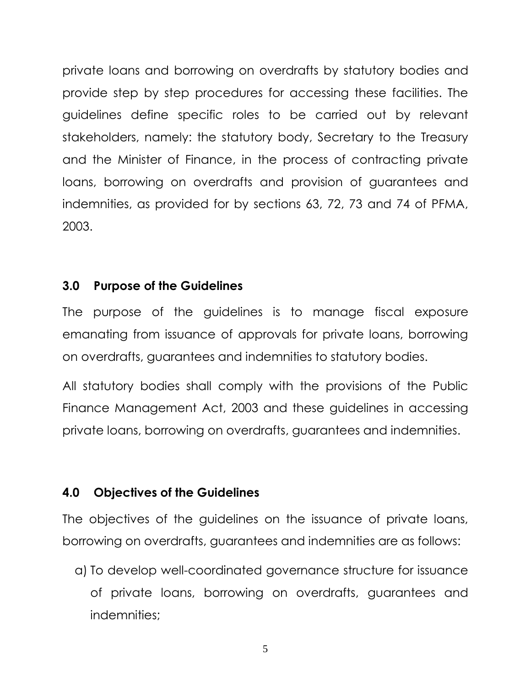private loans and borrowing on overdrafts by statutory bodies and provide step by step procedures for accessing these facilities. The guidelines define specific roles to be carried out by relevant stakeholders, namely: the statutory body, Secretary to the Treasury and the Minister of Finance, in the process of contracting private loans, borrowing on overdrafts and provision of guarantees and indemnities, as provided for by sections 63, 72, 73 and 74 of PFMA, 2003.

#### <span id="page-5-0"></span>**3.0 Purpose of the Guidelines**

The purpose of the guidelines is to manage fiscal exposure emanating from issuance of approvals for private loans, borrowing on overdrafts, guarantees and indemnities to statutory bodies.

All statutory bodies shall comply with the provisions of the Public Finance Management Act, 2003 and these guidelines in accessing private loans, borrowing on overdrafts, guarantees and indemnities.

#### <span id="page-5-1"></span>**4.0 Objectives of the Guidelines**

The objectives of the guidelines on the issuance of private loans, borrowing on overdrafts, guarantees and indemnities are as follows:

a) To develop well-coordinated governance structure for issuance of private loans, borrowing on overdrafts, guarantees and indemnities;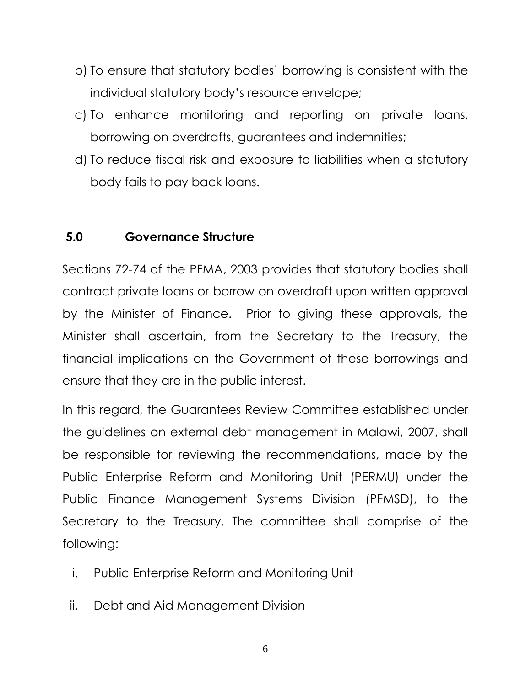- b) To ensure that statutory bodies' borrowing is consistent with the individual statutory body's resource envelope;
- c) To enhance monitoring and reporting on private loans, borrowing on overdrafts, guarantees and indemnities;
- d) To reduce fiscal risk and exposure to liabilities when a statutory body fails to pay back loans.

## <span id="page-6-0"></span>**5.0 Governance Structure**

Sections 72-74 of the PFMA, 2003 provides that statutory bodies shall contract private loans or borrow on overdraft upon written approval by the Minister of Finance. Prior to giving these approvals, the Minister shall ascertain, from the Secretary to the Treasury, the financial implications on the Government of these borrowings and ensure that they are in the public interest.

In this regard, the Guarantees Review Committee established under the guidelines on external debt management in Malawi, 2007, shall be responsible for reviewing the recommendations, made by the Public Enterprise Reform and Monitoring Unit (PERMU) under the Public Finance Management Systems Division (PFMSD), to the Secretary to the Treasury. The committee shall comprise of the following:

- i. Public Enterprise Reform and Monitoring Unit
- ii. Debt and Aid Management Division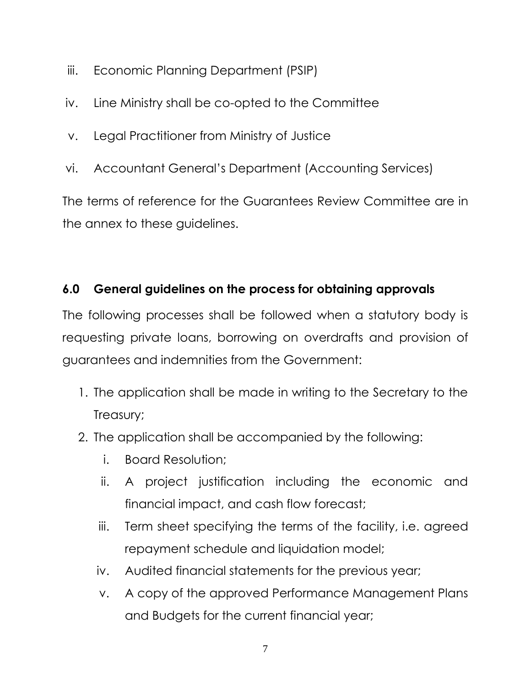- iii. Economic Planning Department (PSIP)
- iv. Line Ministry shall be co-opted to the Committee
- v. Legal Practitioner from Ministry of Justice
- vi. Accountant General's Department (Accounting Services)

The terms of reference for the Guarantees Review Committee are in the annex to these guidelines.

# <span id="page-7-0"></span>**6.0 General guidelines on the process for obtaining approvals**

The following processes shall be followed when a statutory body is requesting private loans, borrowing on overdrafts and provision of guarantees and indemnities from the Government:

- 1. The application shall be made in writing to the Secretary to the Treasury;
- 2. The application shall be accompanied by the following:
	- i. Board Resolution;
	- ii. A project justification including the economic and financial impact, and cash flow forecast;
	- iii. Term sheet specifying the terms of the facility, i.e. agreed repayment schedule and liquidation model;
	- iv. Audited financial statements for the previous year;
	- v. A copy of the approved Performance Management Plans and Budgets for the current financial year;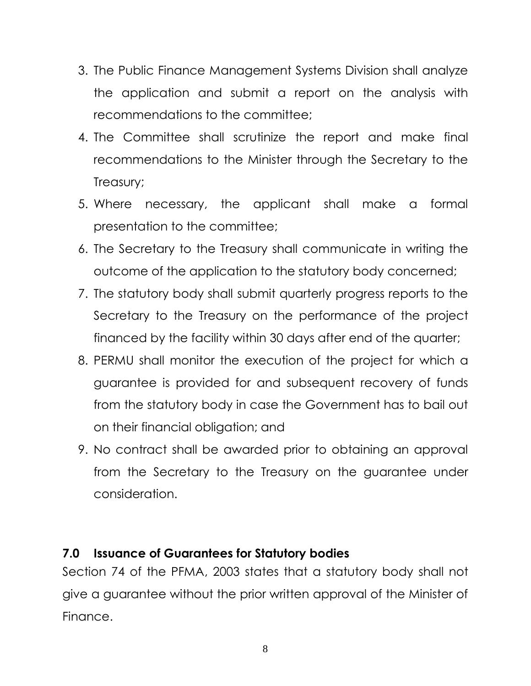- 3. The Public Finance Management Systems Division shall analyze the application and submit a report on the analysis with recommendations to the committee;
- 4. The Committee shall scrutinize the report and make final recommendations to the Minister through the Secretary to the Treasury;
- 5. Where necessary, the applicant shall make a formal presentation to the committee;
- 6. The Secretary to the Treasury shall communicate in writing the outcome of the application to the statutory body concerned;
- 7. The statutory body shall submit quarterly progress reports to the Secretary to the Treasury on the performance of the project financed by the facility within 30 days after end of the quarter;
- 8. PERMU shall monitor the execution of the project for which a guarantee is provided for and subsequent recovery of funds from the statutory body in case the Government has to bail out on their financial obligation; and
- 9. No contract shall be awarded prior to obtaining an approval from the Secretary to the Treasury on the guarantee under consideration.

# **7.0 Issuance of Guarantees for Statutory bodies**

Section 74 of the PFMA, 2003 states that a statutory body shall not give a guarantee without the prior written approval of the Minister of Finance.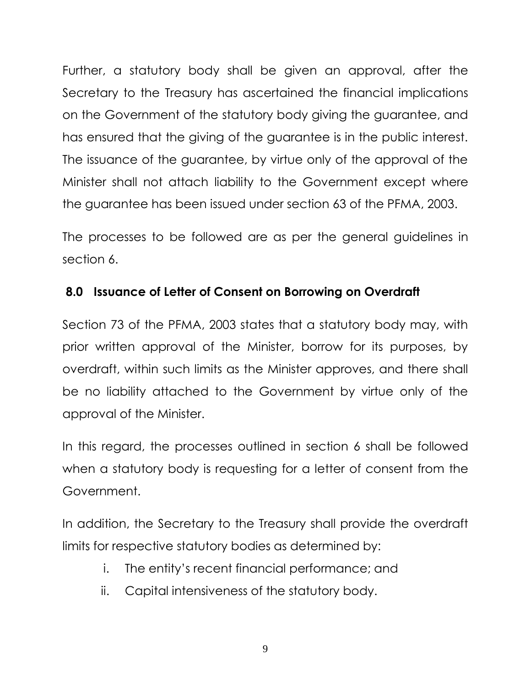Further, a statutory body shall be given an approval, after the Secretary to the Treasury has ascertained the financial implications on the Government of the statutory body giving the guarantee, and has ensured that the giving of the guarantee is in the public interest. The issuance of the guarantee, by virtue only of the approval of the Minister shall not attach liability to the Government except where the guarantee has been issued under section 63 of the PFMA, 2003.

The processes to be followed are as per the general guidelines in section 6.

## <span id="page-9-0"></span>**8.0 Issuance of Letter of Consent on Borrowing on Overdraft**

Section 73 of the PFMA, 2003 states that a statutory body may, with prior written approval of the Minister, borrow for its purposes, by overdraft, within such limits as the Minister approves, and there shall be no liability attached to the Government by virtue only of the approval of the Minister.

In this regard, the processes outlined in section 6 shall be followed when a statutory body is requesting for a letter of consent from the Government.

In addition, the Secretary to the Treasury shall provide the overdraft limits for respective statutory bodies as determined by:

- i. The entity's recent financial performance; and
- ii. Capital intensiveness of the statutory body.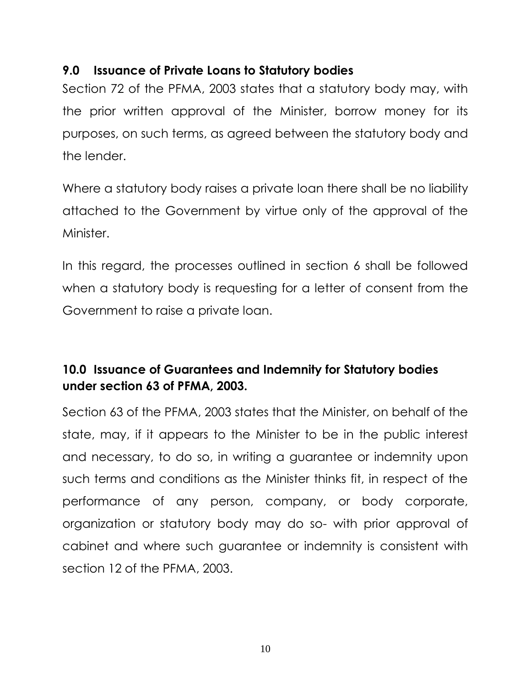## <span id="page-10-0"></span>**9.0 Issuance of Private Loans to Statutory bodies**

Section 72 of the PFMA, 2003 states that a statutory body may, with the prior written approval of the Minister, borrow money for its purposes, on such terms, as agreed between the statutory body and the lender.

Where a statutory body raises a private loan there shall be no liability attached to the Government by virtue only of the approval of the Minister.

In this regard, the processes outlined in section 6 shall be followed when a statutory body is requesting for a letter of consent from the Government to raise a private loan.

# <span id="page-10-1"></span>**10.0 Issuance of Guarantees and Indemnity for Statutory bodies under section 63 of PFMA, 2003.**

Section 63 of the PFMA, 2003 states that the Minister, on behalf of the state, may, if it appears to the Minister to be in the public interest and necessary, to do so, in writing a guarantee or indemnity upon such terms and conditions as the Minister thinks fit, in respect of the performance of any person, company, or body corporate, organization or statutory body may do so- with prior approval of cabinet and where such guarantee or indemnity is consistent with section 12 of the PFMA, 2003.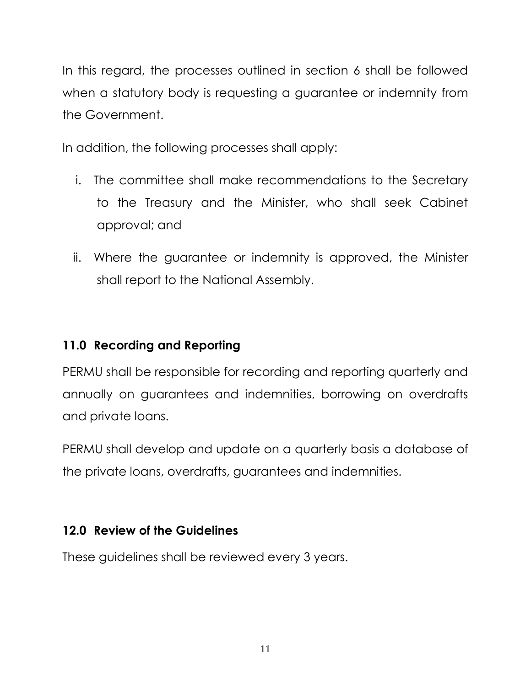In this regard, the processes outlined in section 6 shall be followed when a statutory body is requesting a guarantee or indemnity from the Government.

In addition, the following processes shall apply:

- i. The committee shall make recommendations to the Secretary to the Treasury and the Minister, who shall seek Cabinet approval; and
- ii. Where the guarantee or indemnity is approved, the Minister shall report to the National Assembly.

# <span id="page-11-0"></span>**11.0 Recording and Reporting**

PERMU shall be responsible for recording and reporting quarterly and annually on guarantees and indemnities, borrowing on overdrafts and private loans.

PERMU shall develop and update on a quarterly basis a database of the private loans, overdrafts, guarantees and indemnities.

## <span id="page-11-1"></span>**12.0 Review of the Guidelines**

These guidelines shall be reviewed every 3 years.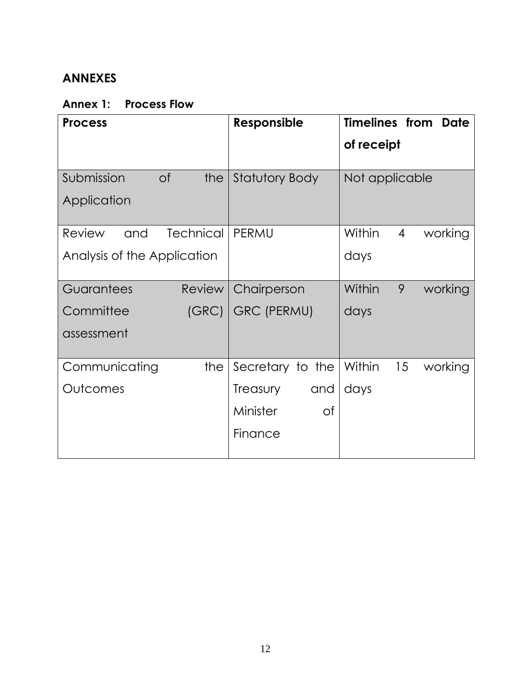## <span id="page-12-0"></span>**ANNEXES**

## <span id="page-12-1"></span>**Annex 1: Process Flow**

<span id="page-12-2"></span>

| <b>Process</b>                    | <b>Responsible</b>    | <b>Timelines from</b><br><b>Date</b> |
|-----------------------------------|-----------------------|--------------------------------------|
|                                   |                       | of receipt                           |
| Submission<br>$\circ$ f<br>the    | <b>Statutory Body</b> | Not applicable                       |
| Application                       |                       |                                      |
| <b>Technical</b><br>Review<br>and | PERMU                 | Within<br>$\overline{4}$<br>working  |
| Analysis of the Application       |                       | days                                 |
| Guarantees<br><b>Review</b>       | Chairperson           | Within<br>9<br>working               |
| Committee<br>(GRC)                | <b>GRC (PERMU)</b>    | days                                 |
| assessment                        |                       |                                      |
| Communicating<br>the              | Secretary to the      | Within<br>15<br>working              |
| Outcomes                          | Treasury<br>and       | days                                 |
|                                   | Minister<br>Οf        |                                      |
|                                   | Finance               |                                      |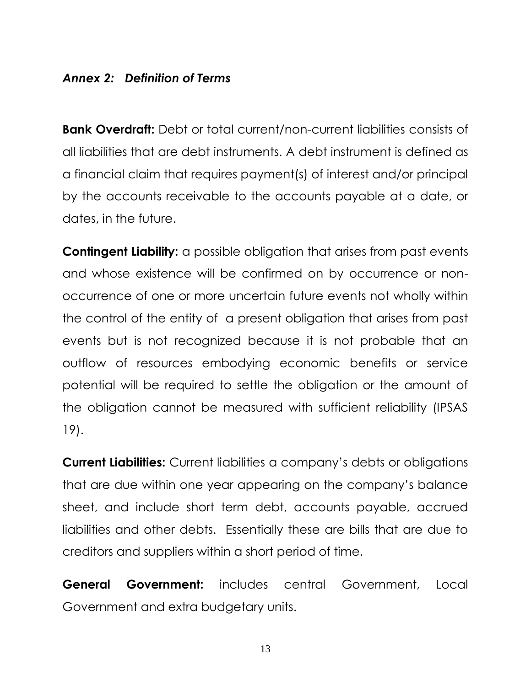## *Annex 2: Definition of Terms*

**Bank Overdraft:** Debt or total current/non-current liabilities consists of all liabilities that are debt instruments. A debt instrument is defined as a financial claim that requires payment(s) of interest and/or principal by the accounts receivable to the accounts payable at a date, or dates, in the future.

**Contingent Liability:** a possible obligation that arises from past events and whose existence will be confirmed on by occurrence or nonoccurrence of one or more uncertain future events not wholly within the control of the entity of a present obligation that arises from past events but is not recognized because it is not probable that an outflow of resources embodying economic benefits or service potential will be required to settle the obligation or the amount of the obligation cannot be measured with sufficient reliability (IPSAS 19).

**Current Liabilities:** Current liabilities a company's debts or obligations that are due within one year appearing on the company's balance sheet, and include short term debt, accounts payable, accrued liabilities and other debts. Essentially these are bills that are due to creditors and suppliers within a short period of time.

**General Government:** includes central Government, Local Government and extra budgetary units.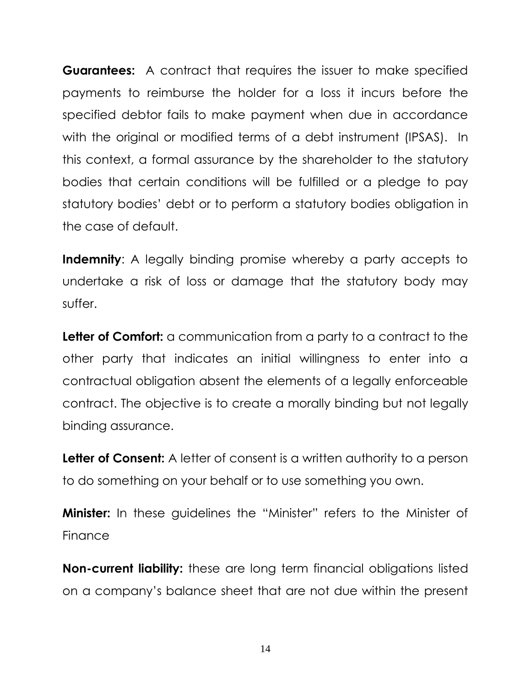**Guarantees:** A contract that requires the issuer to make specified payments to reimburse the holder for a loss it incurs before the specified debtor fails to make payment when due in accordance with the original or modified terms of a debt instrument (IPSAS). In this context, a formal assurance by the shareholder to the statutory bodies that certain conditions will be fulfilled or a pledge to pay statutory bodies' debt or to perform a statutory bodies obligation in the case of default.

**Indemnity:** A legally binding promise whereby a party accepts to undertake a risk of loss or damage that the statutory body may suffer.

**Letter of Comfort:** a communication from a party to a contract to the other party that indicates an initial willingness to enter into a contractual obligation absent the elements of a legally enforceable contract. The objective is to create a morally binding but not legally binding assurance.

**Letter of Consent:** A letter of consent is a written authority to a person to do something on your behalf or to use something you own.

**Minister:** In these guidelines the "Minister" refers to the Minister of Finance

**Non-current liability:** these are long term financial obligations listed on a company's balance sheet that are not due within the present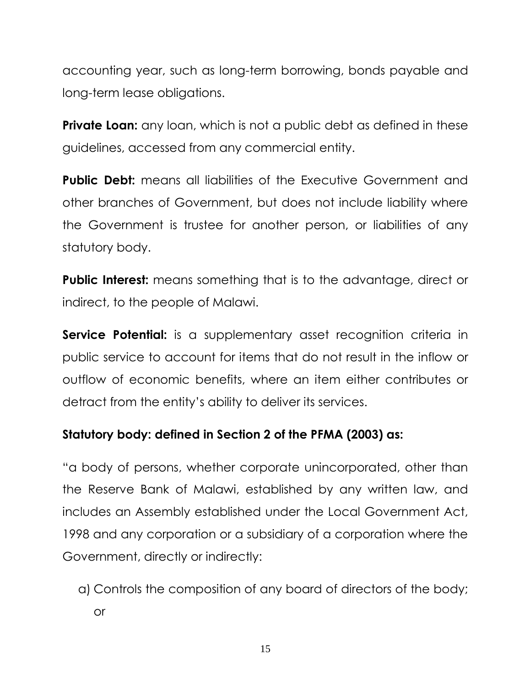accounting year, such as long-term borrowing, bonds payable and long-term lease obligations.

**Private Loan:** any loan, which is not a public debt as defined in these guidelines, accessed from any commercial entity.

**Public Debt:** means all liabilities of the Executive Government and other branches of Government, but does not include liability where the Government is trustee for another person, or liabilities of any statutory body.

**Public Interest:** means something that is to the advantage, direct or indirect, to the people of Malawi.

**Service Potential:** is a supplementary asset recognition criteria in public service to account for items that do not result in the inflow or outflow of economic benefits, where an item either contributes or detract from the entity's ability to deliver its services.

# **Statutory body: defined in Section 2 of the PFMA (2003) as:**

"a body of persons, whether corporate unincorporated, other than the Reserve Bank of Malawi, established by any written law, and includes an Assembly established under the Local Government Act, 1998 and any corporation or a subsidiary of a corporation where the Government, directly or indirectly:

a) Controls the composition of any board of directors of the body; or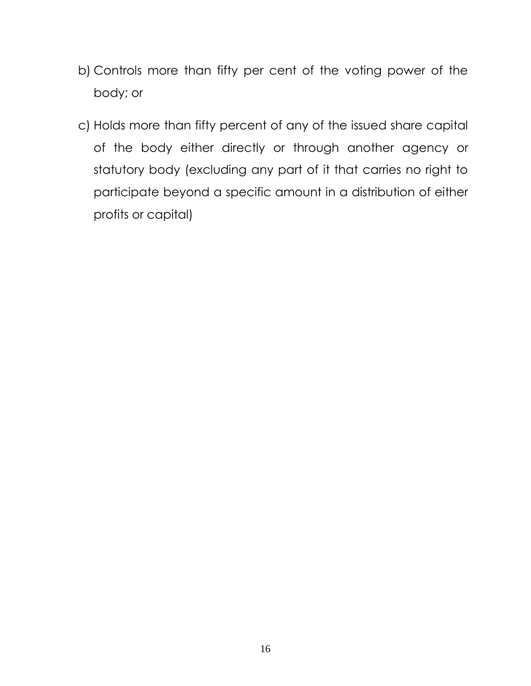- b) Controls more than fifty per cent of the voting power of the body; or
- <span id="page-16-0"></span>c) Holds more than fifty percent of any of the issued share capital of the body either directly or through another agency or statutory body (excluding any part of it that carries no right to participate beyond a specific amount in a distribution of either profits or capital)